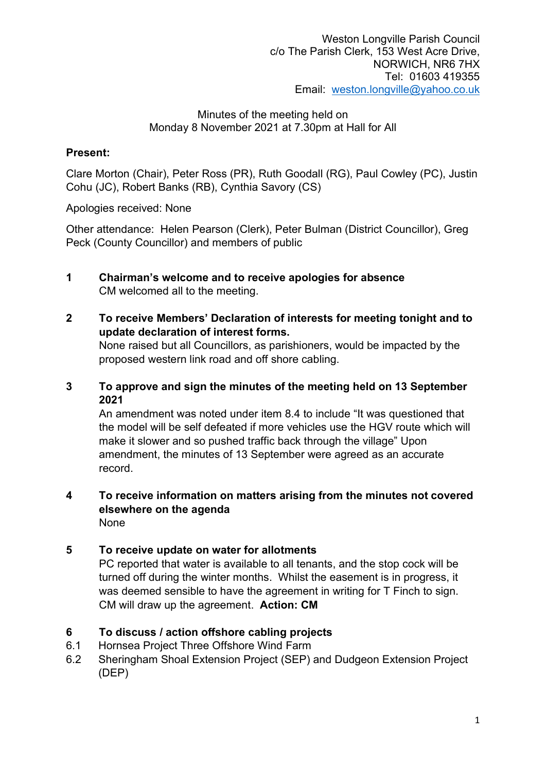### Present:

Clare Morton (Chair), Peter Ross (PR), Ruth Goodall (RG), Paul Cowley (PC), Justin Cohu (JC), Robert Banks (RB), Cynthia Savory (CS)

Apologies received: None

Other attendance: Helen Pearson (Clerk), Peter Bulman (District Councillor), Greg Peck (County Councillor) and members of public

- 1 Chairman's welcome and to receive apologies for absence CM welcomed all to the meeting.
- 2 To receive Members' Declaration of interests for meeting tonight and to update declaration of interest forms. None raised but all Councillors, as parishioners, would be impacted by the proposed western link road and off shore cabling.
- 3 To approve and sign the minutes of the meeting held on 13 September 2021

An amendment was noted under item 8.4 to include "It was questioned that the model will be self defeated if more vehicles use the HGV route which will make it slower and so pushed traffic back through the village" Upon amendment, the minutes of 13 September were agreed as an accurate record.

#### 4 To receive information on matters arising from the minutes not covered elsewhere on the agenda None

# 5 To receive update on water for allotments

PC reported that water is available to all tenants, and the stop cock will be turned off during the winter months. Whilst the easement is in progress, it was deemed sensible to have the agreement in writing for T Finch to sign. CM will draw up the agreement. Action: CM

# 6 To discuss / action offshore cabling projects

- 6.1 Hornsea Project Three Offshore Wind Farm
- 6.2 Sheringham Shoal Extension Project (SEP) and Dudgeon Extension Project (DEP)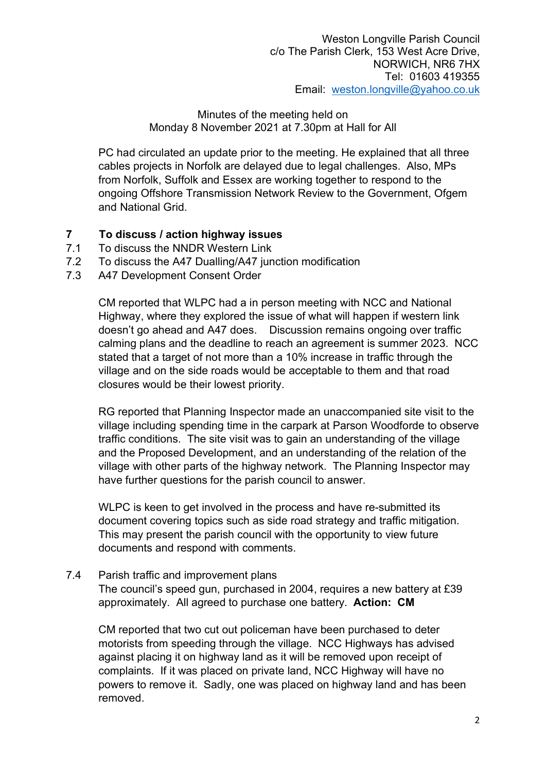PC had circulated an update prior to the meeting. He explained that all three cables projects in Norfolk are delayed due to legal challenges. Also, MPs from Norfolk, Suffolk and Essex are working together to respond to the ongoing Offshore Transmission Network Review to the Government, Ofgem and National Grid.

## 7 To discuss / action highway issues

- 7.1 To discuss the NNDR Western Link
- 7.2 To discuss the A47 Dualling/A47 junction modification
- 7.3 A47 Development Consent Order

CM reported that WLPC had a in person meeting with NCC and National Highway, where they explored the issue of what will happen if western link doesn't go ahead and A47 does. Discussion remains ongoing over traffic calming plans and the deadline to reach an agreement is summer 2023. NCC stated that a target of not more than a 10% increase in traffic through the village and on the side roads would be acceptable to them and that road closures would be their lowest priority.

RG reported that Planning Inspector made an unaccompanied site visit to the village including spending time in the carpark at Parson Woodforde to observe traffic conditions. The site visit was to gain an understanding of the village and the Proposed Development, and an understanding of the relation of the village with other parts of the highway network. The Planning Inspector may have further questions for the parish council to answer.

WLPC is keen to get involved in the process and have re-submitted its document covering topics such as side road strategy and traffic mitigation. This may present the parish council with the opportunity to view future documents and respond with comments.

7.4 Parish traffic and improvement plans

The council's speed gun, purchased in 2004, requires a new battery at £39 approximately. All agreed to purchase one battery. Action: CM

CM reported that two cut out policeman have been purchased to deter motorists from speeding through the village. NCC Highways has advised against placing it on highway land as it will be removed upon receipt of complaints. If it was placed on private land, NCC Highway will have no powers to remove it. Sadly, one was placed on highway land and has been removed.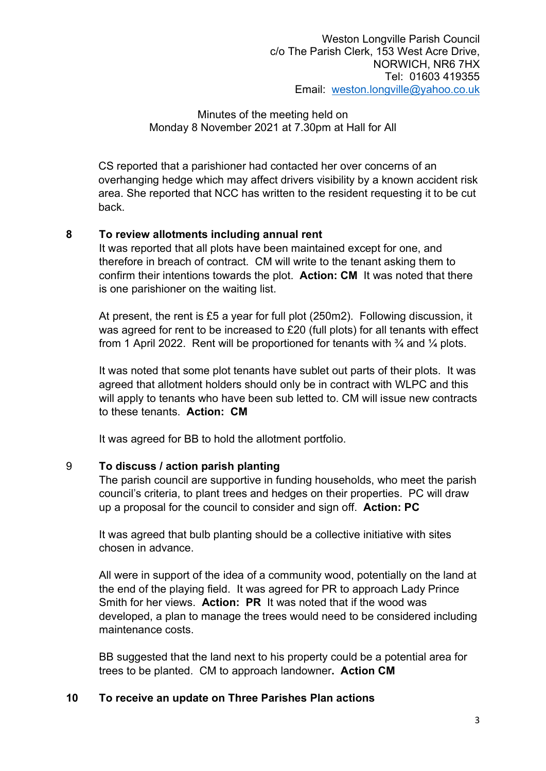CS reported that a parishioner had contacted her over concerns of an overhanging hedge which may affect drivers visibility by a known accident risk area. She reported that NCC has written to the resident requesting it to be cut back.

#### 8 To review allotments including annual rent

It was reported that all plots have been maintained except for one, and therefore in breach of contract. CM will write to the tenant asking them to confirm their intentions towards the plot. Action: CM It was noted that there is one parishioner on the waiting list.

At present, the rent is £5 a year for full plot (250m2). Following discussion, it was agreed for rent to be increased to £20 (full plots) for all tenants with effect from 1 April 2022. Rent will be proportioned for tenants with  $\frac{3}{4}$  and  $\frac{1}{4}$  plots.

It was noted that some plot tenants have sublet out parts of their plots. It was agreed that allotment holders should only be in contract with WLPC and this will apply to tenants who have been sub letted to. CM will issue new contracts to these tenants. Action: CM

It was agreed for BB to hold the allotment portfolio.

### 9 To discuss / action parish planting

The parish council are supportive in funding households, who meet the parish council's criteria, to plant trees and hedges on their properties. PC will draw up a proposal for the council to consider and sign off. Action: PC

It was agreed that bulb planting should be a collective initiative with sites chosen in advance.

All were in support of the idea of a community wood, potentially on the land at the end of the playing field. It was agreed for PR to approach Lady Prince Smith for her views. Action: PR It was noted that if the wood was developed, a plan to manage the trees would need to be considered including maintenance costs.

BB suggested that the land next to his property could be a potential area for trees to be planted. CM to approach landowner. Action CM

### 10 To receive an update on Three Parishes Plan actions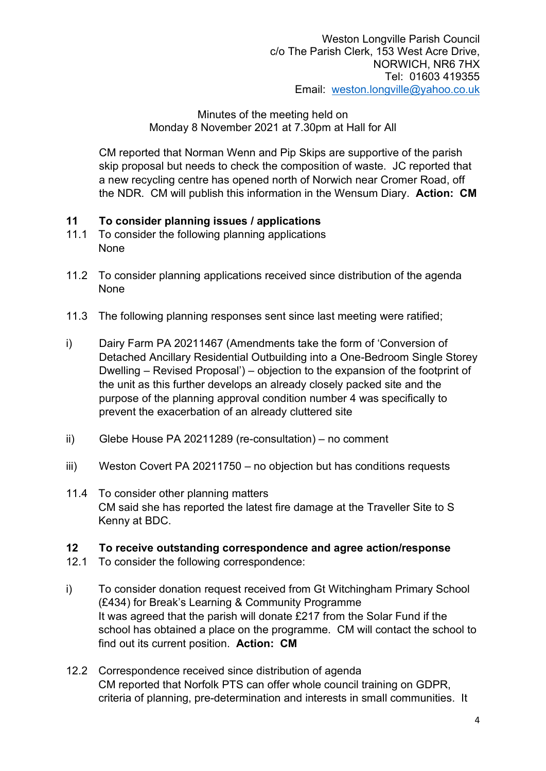CM reported that Norman Wenn and Pip Skips are supportive of the parish skip proposal but needs to check the composition of waste. JC reported that a new recycling centre has opened north of Norwich near Cromer Road, off the NDR. CM will publish this information in the Wensum Diary. Action: CM

### 11 To consider planning issues / applications

- 11.1 To consider the following planning applications None
- 11.2 To consider planning applications received since distribution of the agenda None
- 11.3 The following planning responses sent since last meeting were ratified;
- i) Dairy Farm PA 20211467 (Amendments take the form of 'Conversion of Detached Ancillary Residential Outbuilding into a One-Bedroom Single Storey Dwelling – Revised Proposal') – objection to the expansion of the footprint of the unit as this further develops an already closely packed site and the purpose of the planning approval condition number 4 was specifically to prevent the exacerbation of an already cluttered site
- ii) Glebe House PA 20211289 (re-consultation) no comment
- iii) Weston Covert PA 20211750 no objection but has conditions requests
- 11.4 To consider other planning matters CM said she has reported the latest fire damage at the Traveller Site to S Kenny at BDC.

### 12 To receive outstanding correspondence and agree action/response

- 12.1 To consider the following correspondence:
- i) To consider donation request received from Gt Witchingham Primary School (£434) for Break's Learning & Community Programme It was agreed that the parish will donate £217 from the Solar Fund if the school has obtained a place on the programme. CM will contact the school to find out its current position. Action: CM
- 12.2 Correspondence received since distribution of agenda CM reported that Norfolk PTS can offer whole council training on GDPR, criteria of planning, pre-determination and interests in small communities. It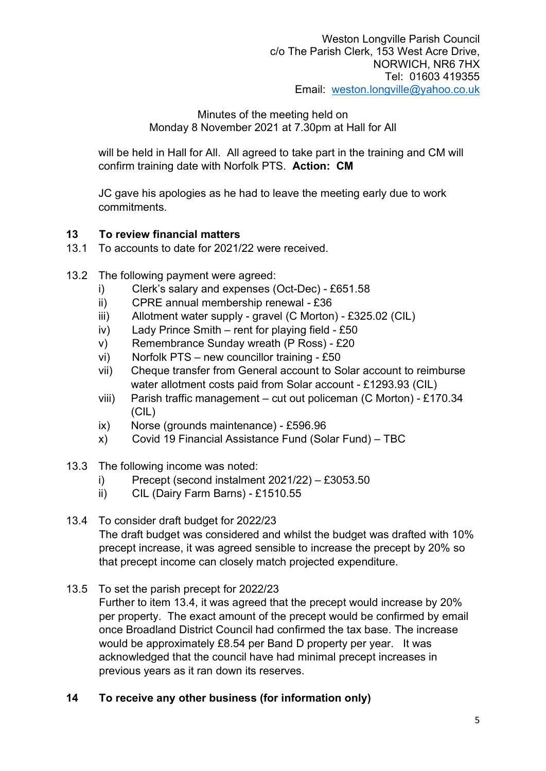will be held in Hall for All. All agreed to take part in the training and CM will confirm training date with Norfolk PTS. Action: CM

JC gave his apologies as he had to leave the meeting early due to work commitments.

## 13 To review financial matters

- 13.1 To accounts to date for 2021/22 were received.
- 13.2 The following payment were agreed:
	- i) Clerk's salary and expenses (Oct-Dec) £651.58
	- ii) CPRE annual membership renewal £36
	- iii) Allotment water supply gravel (C Morton) £325.02 (CIL)
	- iv) Lady Prince Smith rent for playing field £50
	- v) Remembrance Sunday wreath (P Ross) £20
	- vi) Norfolk PTS new councillor training £50
	- vii) Cheque transfer from General account to Solar account to reimburse water allotment costs paid from Solar account - £1293.93 (CIL)
	- viii) Parish traffic management cut out policeman (C Morton) £170.34 (CIL)
	- ix) Norse (grounds maintenance) £596.96
	- x) Covid 19 Financial Assistance Fund (Solar Fund) TBC
- 13.3 The following income was noted:
	- i) Precept (second instalment 2021/22) £3053.50
	- ii) CIL (Dairy Farm Barns) £1510.55

#### 13.4 To consider draft budget for 2022/23

The draft budget was considered and whilst the budget was drafted with 10% precept increase, it was agreed sensible to increase the precept by 20% so that precept income can closely match projected expenditure.

13.5 To set the parish precept for 2022/23

Further to item 13.4, it was agreed that the precept would increase by 20% per property. The exact amount of the precept would be confirmed by email once Broadland District Council had confirmed the tax base. The increase would be approximately £8.54 per Band D property per year. It was acknowledged that the council have had minimal precept increases in previous years as it ran down its reserves.

14 To receive any other business (for information only)